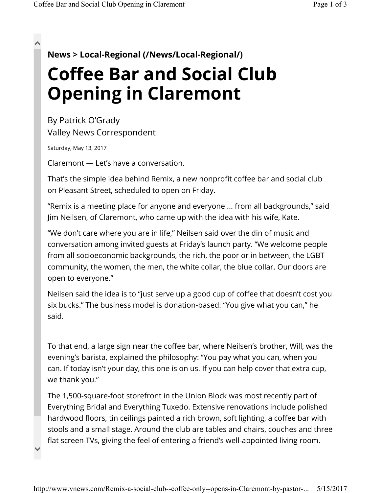## $\lambda$

 $\checkmark$ 

**News > Local-Regional (/News/Local-Regional/)**

## **Coffee Bar and Social Club Opening in Claremont**

By Patrick O'Grady Valley News Correspondent

Saturday, May 13, 2017

Claremont — Let's have a conversation.

That's the simple idea behind Remix, a new nonprofit coffee bar and social club on Pleasant Street, scheduled to open on Friday.

"Remix is a meeting place for anyone and everyone ... from all backgrounds," said Jim Neilsen, of Claremont, who came up with the idea with his wife, Kate.

"We don't care where you are in life," Neilsen said over the din of music and conversation among invited guests at Friday's launch party. "We welcome people from all socioeconomic backgrounds, the rich, the poor or in between, the LGBT community, the women, the men, the white collar, the blue collar. Our doors are open to everyone."

Neilsen said the idea is to "just serve up a good cup of coffee that doesn't cost you six bucks." The business model is donation-based: "You give what you can," he said.

To that end, a large sign near the coffee bar, where Neilsen's brother, Will, was the evening's barista, explained the philosophy: "You pay what you can, when you can. If today isn't your day, this one is on us. If you can help cover that extra cup, we thank you."

The 1,500-square-foot storefront in the Union Block was most recently part of Everything Bridal and Everything Tuxedo. Extensive renovations include polished hardwood floors, tin ceilings painted a rich brown, soft lighting, a coffee bar with stools and a small stage. Around the club are tables and chairs, couches and three flat screen TVs, giving the feel of entering a friend's well-appointed living room.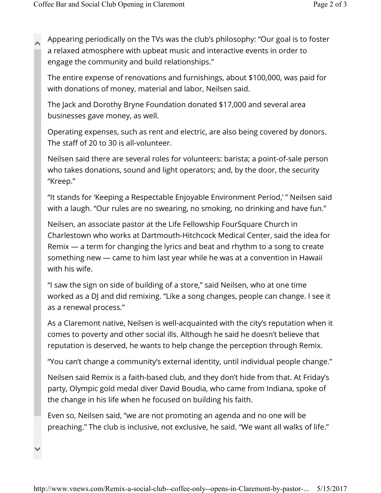Appearing periodically on the TVs was the club's philosophy: "Our goal is to foster a relaxed atmosphere with upbeat music and interactive events in order to engage the community and build relationships."  $\lambda$ 

The entire expense of renovations and furnishings, about \$100,000, was paid for with donations of money, material and labor, Neilsen said.

The Jack and Dorothy Bryne Foundation donated \$17,000 and several area businesses gave money, as well.

Operating expenses, such as rent and electric, are also being covered by donors. The staff of 20 to 30 is all-volunteer.

Neilsen said there are several roles for volunteers: barista; a point-of-sale person who takes donations, sound and light operators; and, by the door, the security "Kreep."

"It stands for 'Keeping a Respectable Enjoyable Environment Period,' " Neilsen said with a laugh. "Our rules are no swearing, no smoking, no drinking and have fun."

Neilsen, an associate pastor at the Life Fellowship FourSquare Church in Charlestown who works at Dartmouth-Hitchcock Medical Center, said the idea for Remix — a term for changing the lyrics and beat and rhythm to a song to create something new — came to him last year while he was at a convention in Hawaii with his wife.

"I saw the sign on side of building of a store," said Neilsen, who at one time worked as a DJ and did remixing. "Like a song changes, people can change. I see it as a renewal process."

As a Claremont native, Neilsen is well-acquainted with the city's reputation when it comes to poverty and other social ills. Although he said he doesn't believe that reputation is deserved, he wants to help change the perception through Remix.

"You can't change a community's external identity, until individual people change."

Neilsen said Remix is a faith-based club, and they don't hide from that. At Friday's party, Olympic gold medal diver David Boudia, who came from Indiana, spoke of the change in his life when he focused on building his faith.

Even so, Neilsen said, "we are not promoting an agenda and no one will be preaching." The club is inclusive, not exclusive, he said. "We want all walks of life."

 $\checkmark$